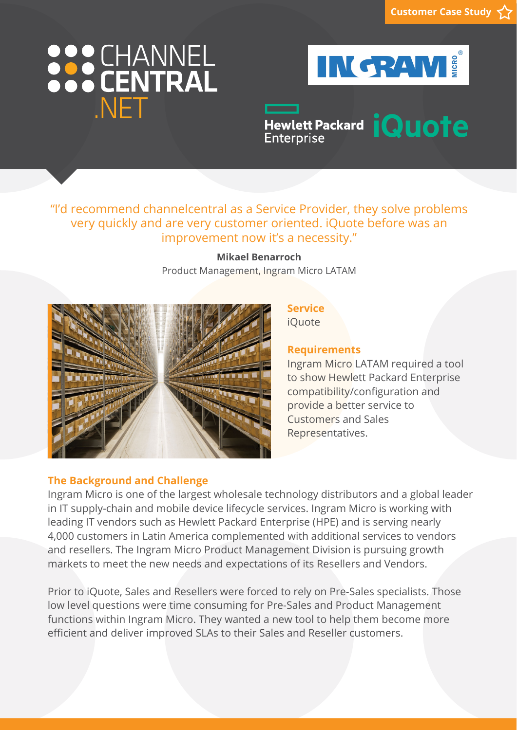# 888 CHANNEL NFT



Hewlett Packard *iQuote* **Enterprise** 

## "I'd recommend channelcentral as a Service Provider, they solve problems very quickly and are very customer oriented. iQuote before was an improvement now it's a necessity."

**Mikael Benarroch** Product Management, Ingram Micro LATAM



# **Requirements**

**Service** iQuote

Ingram Micro LATAM required a tool to show Hewlett Packard Enterprise compatibility/configuration and provide a better service to Customers and Sales Representatives.

### **The Background and Challenge**

Ingram Micro is one of the largest wholesale technology distributors and a global leader in IT supply-chain and mobile device lifecycle services. Ingram Micro is working with leading IT vendors such as Hewlett Packard Enterprise (HPE) and is serving nearly 4,000 customers in Latin America complemented with additional services to vendors and resellers. The Ingram Micro Product Management Division is pursuing growth markets to meet the new needs and expectations of its Resellers and Vendors.

Prior to iQuote, Sales and Resellers were forced to rely on Pre-Sales specialists. Those low level questions were time consuming for Pre-Sales and Product Management functions within Ingram Micro. They wanted a new tool to help them become more efficient and deliver improved SLAs to their Sales and Reseller customers.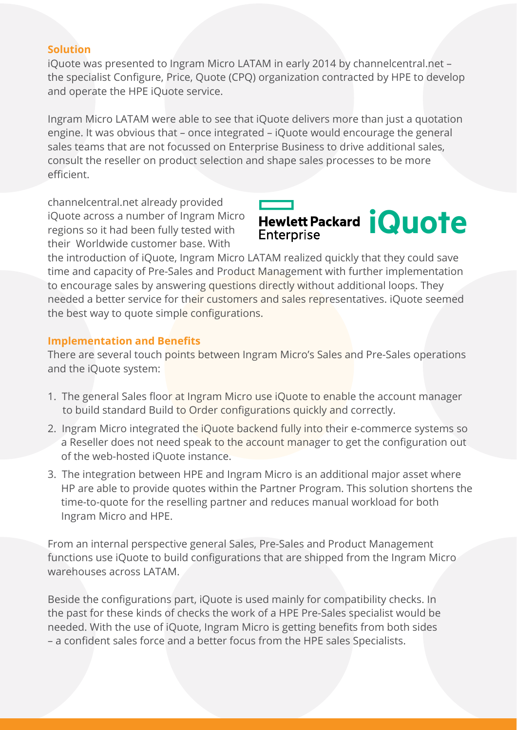#### **Solution**

iQuote was presented to Ingram Micro LATAM in early 2014 by channelcentral.net – the specialist Configure, Price, Quote (CPQ) organization contracted by HPE to develop and operate the HPE iQuote service.

Ingram Micro LATAM were able to see that iQuote delivers more than just a quotation engine. It was obvious that – once integrated – iQuote would encourage the general sales teams that are not focussed on Enterprise Business to drive additional sales, consult the reseller on product selection and shape sales processes to be more efficient.

channelcentral.net already provided iQuote across a number of Ingram Micro regions so it had been fully tested with their Worldwide customer base. With



the introduction of iQuote, Ingram Micro LATAM realized quickly that they could save time and capacity of Pre-Sales and Product Management with further implementation to encourage sales by answering questions directly without additional loops. They needed a better service for their customers and sales representatives. iQuote seemed the best way to quote simple configurations.

#### **Implementation and Benefits**

There are several touch points between Ingram Micro's Sales and Pre-Sales operations and the iQuote system:

- 1. The general Sales floor at Ingram Micro use iQuote to enable the account manager to build standard Build to Order configurations quickly and correctly.
- 2. Ingram Micro integrated the iQuote backend fully into their e-commerce systems so a Reseller does not need speak to the account manager to get the configuration out of the web-hosted iQuote instance.
- 3. The integration between HPE and Ingram Micro is an additional major asset where HP are able to provide quotes within the Partner Program. This solution shortens the time-to-quote for the reselling partner and reduces manual workload for both Ingram Micro and HPE.

From an internal perspective general Sales, Pre-Sales and Product Management functions use iQuote to build configurations that are shipped from the Ingram Micro warehouses across LATAM.

Beside the configurations part, iQuote is used mainly for compatibility checks. In the past for these kinds of checks the work of a HPE Pre-Sales specialist would be needed. With the use of iQuote, Ingram Micro is getting benefits from both sides – a confident sales force and a better focus from the HPE sales Specialists.